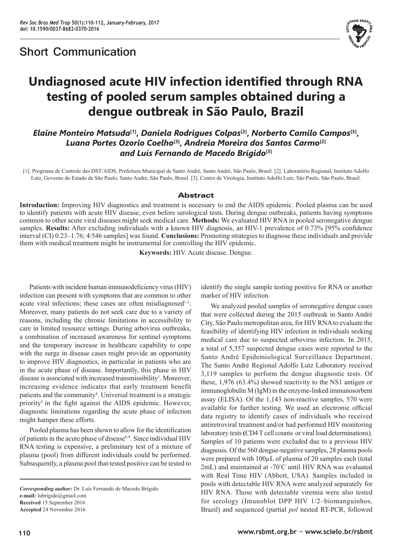

# **Undiagnosed acute HIV infection identified through RNA testing of pooled serum samples obtained during a dengue outbreak in São Paulo, Brazil**

*Elaine Monteiro Matsuda***[1],** *Daniela Rodrigues Colpas***[2],** *Norberto Camilo Campos***[3],**  *Luana Portes Ozorio Coelho***[3],** *Andreia Moreira dos Santos Carmo***[2]** *and Luís Fernando de Macedo Brígido***[3]**

[1]. Programa de Controle das DST/AIDS, Prefeitura Municipal de Santo André, Santo André, São Paulo, Brasil. [2]. Laboratório Regional, Instituto Adolfo Lutz, Governo do Estado de São Paulo, Santo André, São Paulo, Brasil. [3]. Centro de Virologia, Instituto Adolfo Lutz, São Paulo, São Paulo, Brasil.

## Abstract

**Introduction:** Improving HIV diagnostics and treatment is necessary to end the AIDS epidemic. Pooled plasma can be used to identify patients with acute HIV disease, even before serological tests. During dengue outbreaks, patients having symptoms common to other acute viral diseases might seek medical care. **Methods:** We evaluated HIV RNA in pooled seronegative dengue samples. **Results:** After excluding individuals with a known HIV diagnosis, an HIV-1 prevalence of 0.73% [95% confidence interval (CI) 0.23–1.76; 4/546 samples] was found. **Conclusions:** Promoting strategies to diagnose these individuals and provide them with medical treatment might be instrumental for controlling the HIV epidemic.

**Keywords:** HIV. Acute disease. Dengue.

Patients with incident human immunodeficiency virus (HIV) infection can present with symptoms that are common to other acute viral infections; these cases are often misdiagnosed<sup>1-3</sup>. Moreover, many patients do not seek care due to a variety of reasons, including the chronic limitations in accessibility to care in limited resource settings. During arbovirus outbreaks, a combination of increased awareness for sentinel symptoms and the temporary increase in healthcare capability to cope with the surge in disease cases might provide an opportunity to improve HIV diagnostics, in particular in patients who are in the acute phase of disease. Importantly, this phase in HIV disease is associated with increased transmissibility<sup>1</sup>. Moreover, increasing evidence indicates that early treatment benefit patients and the community<sup>4</sup>. Universal treatment is a strategic priority<sup>5</sup> in the fight against the AIDS epidemic. However, diagnostic limitations regarding the acute phase of infection might hamper these efforts.

Pooled plasma has been shown to allow for the identification of patients in the acute phase of disease<sup>6-8</sup>. Since individual HIV RNA testing is expensive, a preliminary test of a mixture of plasma (pool) from different individuals could be performed. Subsequently, a plasma pool that tested positive can be tested to

*Corresponding author:* Dr. Luís Fernando de Macedo Brígido. **e-mail:** lubrigido@gmail.com **Received** 15 September 2016 **Accepted** 24 November 2016

identify the single sample testing positive for RNA or another marker of HIV infection.

We analyzed pooled samples of seronegative dengue cases that were collected during the 2015 outbreak in Santo André City, São Paulo metropolitan area, for HIV RNA to evaluate the feasibility of identifying HIV infection in individuals seeking medical care due to suspected arbovirus infection. In 2015, a total of 5,357 suspected dengue cases were reported to the Santo André Epidemiological Surveillance Department. The Santo André Regional Adolfo Lutz Laboratory received 3,119 samples to perform the dengue diagnostic tests. Of these, 1,976 (63.4%) showed reactivity to the NS1 antigen or immunoglobulin M (IgM) in the enzyme-linked immunosorbent assay (ELISA). Of the 1,143 non-reactive samples, 570 were available for further testing. We used an electronic official data registry to identify cases of individuals who received antiretroviral treatment and/or had performed HIV monitoring laboratory tests **(**CD4 T cell counts or viral load determinations). Samples of 10 patients were excluded due to a previous HIV diagnosis. Of the 560 dengue-negative samples, 28 plasma pools were prepared with 100µL of plasma of 20 samples each (total 2mL) and maintained at -70° C until HIV RNA was evaluated with Real Time HIV (Abbott, USA). Samples included in pools with detectable HIV RNA were analyzed separately for HIV RNA. Those with detectable viremia were also tested for serology (Imunoblot DPP HIV 1/2–biomanguinhos, Brazil) and sequenced (partial *pol* nested RT-PCR, followed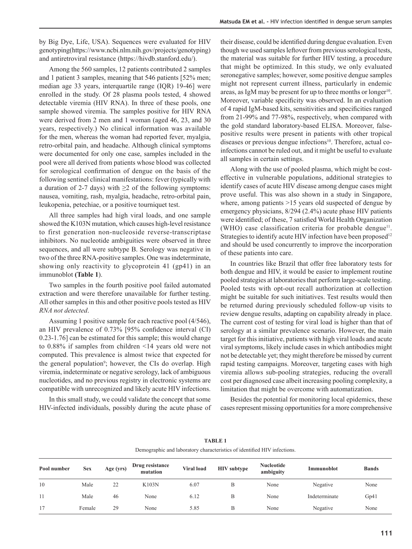by Big Dye, Life, USA). Sequences were evaluated for HIV genotyping(https://www.ncbi.nlm.nih.gov/projects/genotyping) and antiretroviral resistance (https://hivdb.stanford.edu/).

Among the 560 samples, 12 patients contributed 2 samples and 1 patient 3 samples, meaning that 546 patients [52% men; median age 33 years, interquartile range (IQR) 19-46] were enrolled in the study. Of 28 plasma pools tested, 4 showed detectable viremia (HIV RNA). In three of these pools, one sample showed viremia. The samples positive for HIV RNA were derived from 2 men and 1 woman (aged 46, 23, and 30 years, respectively.) No clinical information was available for the men, whereas the woman had reported fever, myalgia, retro-orbital pain, and headache. Although clinical symptoms were documented for only one case, samples included in the pool were all derived from patients whose blood was collected for serological confirmation of dengue on the basis of the following sentinel clinical manifestations: fever (typically with a duration of 2-7 days) with  $\geq 2$  of the following symptoms: nausea, vomiting, rash, myalgia, headache, retro-orbital pain, leukopenia, petechiae, or a positive tourniquet test.

All three samples had high viral loads, and one sample showed the K103N mutation, which causes high-level resistance to first generation non-nucleoside reverse-transcriptase inhibitors. No nucleotide ambiguities were observed in three sequences, and all were subtype B. Serology was negative in two of the three RNA-positive samples. One was indeterminate, showing only reactivity to glycoprotein 41 (gp41) in an immunoblot **(Table 1**).

Two samples in the fourth positive pool failed automated extraction and were therefore unavailable for further testing. All other samples in this and other positive pools tested as HIV *RNA not detected*.

Assuming 1 positive sample for each reactive pool (4/546), an HIV prevalence of 0.73% [95% confidence interval (CI) 0.23-1.76] can be estimated for this sample; this would change to 0.88% if samples from children <14 years old were not computed. This prevalence is almost twice that expected for the general population<sup>9</sup>; however, the CIs do overlap. High viremia, indeterminate or negative serology, lack of ambiguous nucleotides, and no previous registry in electronic systems are compatible with unrecognized and likely acute HIV infections.

In this small study, we could validate the concept that some HIV-infected individuals, possibly during the acute phase of their disease, could be identified during dengue evaluation. Even though we used samples leftover from previous serological tests, the material was suitable for further HIV testing, a procedure that might be optimized. In this study, we only evaluated seronegative samples; however, some positive dengue samples might not represent current illness, particularly in endemic areas, as IgM may be present for up to three months or longer<sup>10</sup>. Moreover, variable specificity was observed. In an evaluation of 4 rapid IgM-based kits, sensitivities and specificities ranged from 21-99% and 77-98%, respectively, when compared with the gold standard laboratory-based ELISA. Moreover, falsepositive results were present in patients with other tropical diseases or previous dengue infections<sup>10</sup>. Therefore, actual coinfections cannot be ruled out, and it might be useful to evaluate all samples in certain settings.

Along with the use of pooled plasma, which might be costeffective in vulnerable populations, additional strategies to identify cases of acute HIV disease among dengue cases might prove useful. This was also shown in a study in Singapore, where, among patients >15 years old suspected of dengue by emergency physicians, 8/294 (2.4%) acute phase HIV patients were identified; of these, 7 satisfied World Health Organization (WHO) case classification criteria for probable dengue<sup>11</sup>. Strategies to identify acute HIV infection have been proposed<sup>12</sup> and should be used concurrently to improve the incorporation of these patients into care.

In countries like Brazil that offer free laboratory tests for both dengue and HIV, it would be easier to implement routine pooled strategies at laboratories that perform large-scale testing. Pooled tests with opt-out recall authorization at collection might be suitable for such initiatives. Test results would then be returned during previously scheduled follow-up visits to review dengue results, adapting on capability already in place. The current cost of testing for viral load is higher than that of serology at a similar prevalence scenario. However, the main target for this initiative, patients with high viral loads and acute viral symptoms, likely include cases in which antibodies might not be detectable yet; they might therefore be missed by current rapid testing campaigns. Moreover, targeting cases with high viremia allows sub-pooling strategies, reducing the overall cost per diagnosed case albeit increasing pooling complexity, a limitation that might be overcome with automatization.

Besides the potential for monitoring local epidemics, these cases represent missing opportunities for a more comprehensive

| Demographic and laboratory characteristics of identified HIV infections. |            |           |                             |                   |                    |                                |               |              |
|--------------------------------------------------------------------------|------------|-----------|-----------------------------|-------------------|--------------------|--------------------------------|---------------|--------------|
| Pool number                                                              | <b>Sex</b> | Age (yrs) | Drug resistance<br>mutation | <b>Viral load</b> | <b>HIV</b> subtype | <b>Nucleotide</b><br>ambiguity | Immunoblot    | <b>Bands</b> |
| 10                                                                       | Male       | 22        | K103N                       | 6.07              | В                  | None                           | Negative      | None         |
|                                                                          | Male       | 46        | None                        | 6.12              | B                  | None                           | Indeterminate | Gp41         |
| 17                                                                       | Female     | 29        | None                        | 5.85              | B                  | None                           | Negative      | None         |

**TABLE 1**